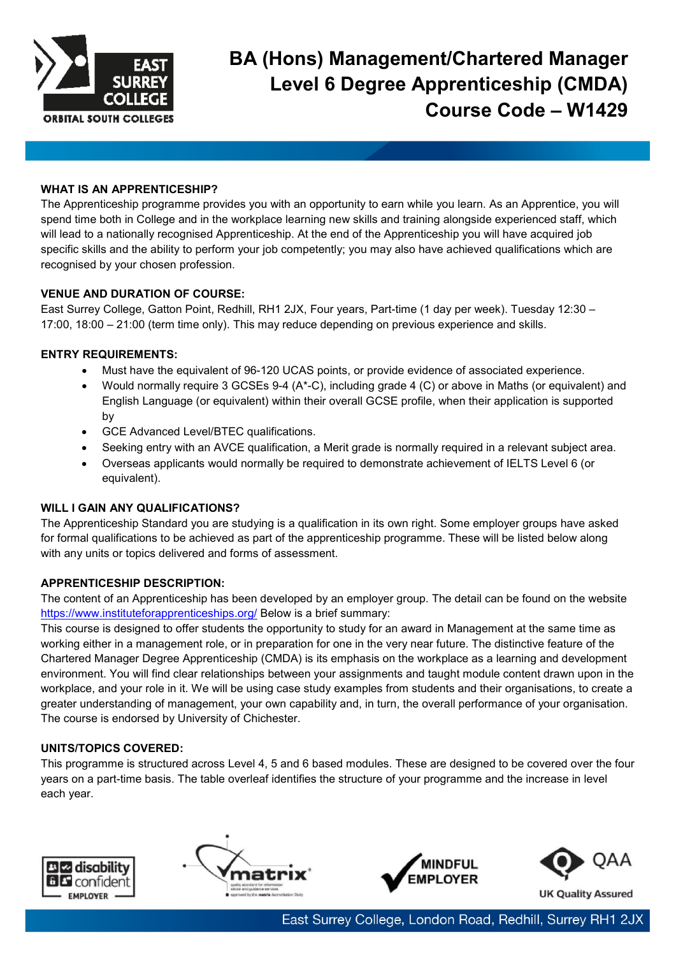

# **BA (Hons) Management/Chartered Manager Level 6 Degree Apprenticeship (CMDA) Course Code – W1429**

## **WHAT IS AN APPRENTICESHIP?**

The Apprenticeship programme provides you with an opportunity to earn while you learn. As an Apprentice, you will spend time both in College and in the workplace learning new skills and training alongside experienced staff, which will lead to a nationally recognised Apprenticeship. At the end of the Apprenticeship you will have acquired job specific skills and the ability to perform your job competently; you may also have achieved qualifications which are recognised by your chosen profession.

## **VENUE AND DURATION OF COURSE:**

East Surrey College, Gatton Point, Redhill, RH1 2JX, Four years, Part-time (1 day per week). Tuesday 12:30 – 17:00, 18:00 – 21:00 (term time only). This may reduce depending on previous experience and skills.

## **ENTRY REQUIREMENTS:**

- Must have the equivalent of 96-120 UCAS points, or provide evidence of associated experience.
- Would normally require 3 GCSEs 9-4 (A\*-C), including grade 4 (C) or above in Maths (or equivalent) and English Language (or equivalent) within their overall GCSE profile, when their application is supported by
- GCE Advanced Level/BTEC qualifications.
- Seeking entry with an AVCE qualification, a Merit grade is normally required in a relevant subject area.
- Overseas applicants would normally be required to demonstrate achievement of IELTS Level 6 (or equivalent).

#### **WILL I GAIN ANY QUALIFICATIONS?**

The Apprenticeship Standard you are studying is a qualification in its own right. Some employer groups have asked for formal qualifications to be achieved as part of the apprenticeship programme. These will be listed below along with any units or topics delivered and forms of assessment.

#### **APPRENTICESHIP DESCRIPTION:**

The content of an Apprenticeship has been developed by an employer group. The detail can be found on the website <https://www.instituteforapprenticeships.org/> Below is a brief summary:

This course is designed to offer students the opportunity to study for an award in Management at the same time as working either in a management role, or in preparation for one in the very near future. The distinctive feature of the Chartered Manager Degree Apprenticeship (CMDA) is its emphasis on the workplace as a learning and development environment. You will find clear relationships between your assignments and taught module content drawn upon in the workplace, and your role in it. We will be using case study examples from students and their organisations, to create a greater understanding of management, your own capability and, in turn, the overall performance of your organisation. The course is endorsed by University of Chichester.

# **UNITS/TOPICS COVERED:**

This programme is structured across Level 4, 5 and 6 based modules. These are designed to be covered over the four years on a part-time basis. The table overleaf identifies the structure of your programme and the increase in level each year.







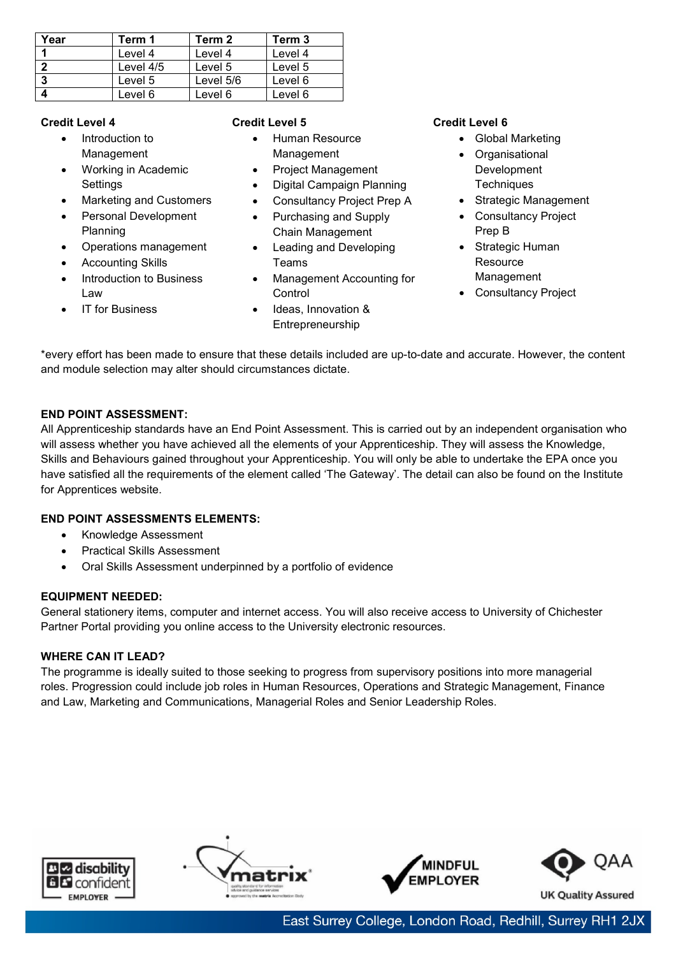| Year | Term 1    | Term 2    | Term 3  |
|------|-----------|-----------|---------|
|      | Level 4   | Level 4   | Level 4 |
|      | Level 4/5 | Level 5   | Level 5 |
| 3    | Level 5   | Level 5/6 | Level 6 |
|      | Level 6   | Level 6   | Level 6 |

## **Credit Level 4**

- Introduction to Management
- Working in Academic **Settings**
- Marketing and Customers
- Personal Development Planning
- Operations management
- **Accounting Skills**

**IT** for Business

• Introduction to Business Law

# **Credit Level 5**

- Human Resource Management
- Project Management
- Digital Campaign Planning
- Consultancy Project Prep A
- Purchasing and Supply Chain Management
- Leading and Developing Teams
- Management Accounting for **Control**
- Ideas, Innovation & Entrepreneurship

## **Credit Level 6**

- Global Marketing
- Organisational Development **Techniques**
- Strategic Management
- Consultancy Project Prep B
- Strategic Human **Resource** Management
- Consultancy Project

\*every effort has been made to ensure that these details included are up-to-date and accurate. However, the content and module selection may alter should circumstances dictate.

# **END POINT ASSESSMENT:**

All Apprenticeship standards have an End Point Assessment. This is carried out by an independent organisation who will assess whether you have achieved all the elements of your Apprenticeship. They will assess the Knowledge, Skills and Behaviours gained throughout your Apprenticeship. You will only be able to undertake the EPA once you have satisfied all the requirements of the element called 'The Gateway'. The detail can also be found on the Institute for Apprentices website.

# **END POINT ASSESSMENTS ELEMENTS:**

- Knowledge Assessment
- Practical Skills Assessment
- Oral Skills Assessment underpinned by a portfolio of evidence

# **EQUIPMENT NEEDED:**

General stationery items, computer and internet access. You will also receive access to University of Chichester Partner Portal providing you online access to the University electronic resources.

# **WHERE CAN IT LEAD?**

The programme is ideally suited to those seeking to progress from supervisory positions into more managerial roles. Progression could include job roles in Human Resources, Operations and Strategic Management, Finance and Law, Marketing and Communications, Managerial Roles and Senior Leadership Roles.